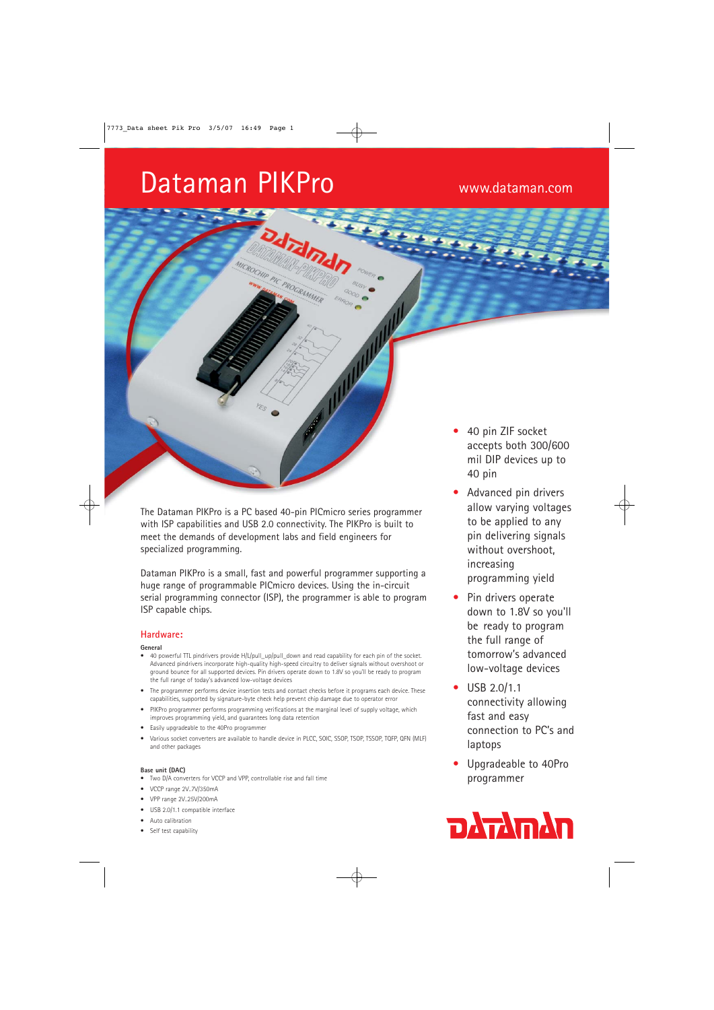# Dataman PIKPro www.dataman.com

The Dataman PIKPro is a PC based 40-pin PICmicro series programmer with ISP capabilities and USB 2.0 connectivity. The PIKPro is built to meet the demands of development labs and field engineers for specialized programming.

dram

PIC PROGRAMMER

Dataman PIKPro is a small, fast and powerful programmer supporting a huge range of programmable PICmicro devices. Using the in-circuit serial programming connector (ISP), the programmer is able to program ISP capable chips.

# **Hardware:**

#### **General**

- 40 powerful TTL pindrivers provide H/L/pull\_up/pull\_down and read capability for each pin of the socket. Advanced pindrivers incorporate high-quality high-speed circuitry to deliver signals without overshoot or ground bounce for all supported devices. Pin drivers operate down to 1.8V so you'll be ready to program the full range of today's advanced low-voltage devices
- The programmer performs device insertion tests and contact checks before it programs each device. These capabilities, supported by signature-byte check help prevent chip damage due to operator error
- PIKPro programmer performs programming verifications at the marginal level of supply voltage, which improves programming yield, and guarantees long data retention
- Easily upgradeable to the 40Pro programmer
- Various socket converters are available to handle device in PLCC, SOIC, SSOP, TSOP, TSSOP, TQFP, QFN (MLF) and other packages

#### **Base unit (DAC)**

- Two D/A converters for VCCP and VPP, controllable rise and fall time
- VCCP range 2V..7V/350mA
- VPP range 2V..25V/200mA
- USB 2.0/1.1 compatible interface
- Auto calibration
- Self test capability
- 40 pin ZIF socket accepts both 300/600 mil DIP devices up to 40 pin
- Advanced pin drivers allow varying voltages to be applied to any pin delivering signals without overshoot, increasing programming yield
- Pin drivers operate down to 1.8V so you'll be ready to program the full range of tomorrow's advanced low-voltage devices
- USB 2.0/1.1 connectivity allowing fast and easy connection to PC's and laptops
- Upgradeable to 40Pro programmer